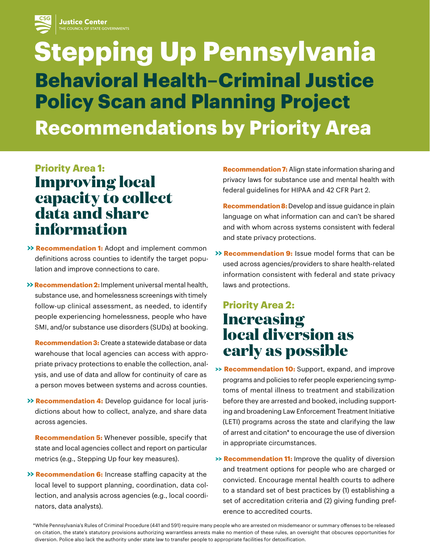

# **Stepping Up Pennsylvania Behavioral Health–Criminal Justice Policy Scan and Planning Project Recommendations by Priority Area**

#### **Priority Area 1: Improving local**

## **capacity to collect data and share information**

- **>> Recommendation 1:** Adopt and implement common definitions across counties to identify the target population and improve connections to care.
- **Recommendation 2: >>** Implement universal mental health, substance use, and homelessness screenings with timely follow-up clinical assessment, as needed, to identify people experiencing homelessness, people who have SMI, and/or substance use disorders (SUDs) at booking.

**Recommendation 3:** Create a statewide database or data warehouse that local agencies can access with appropriate privacy protections to enable the collection, analysis, and use of data and allow for continuity of care as a person moves between systems and across counties.

 **>> Recommendation 4:** Develop guidance for local jurisdictions about how to collect, analyze, and share data across agencies.

**Recommendation 5:** Whenever possible, specify that state and local agencies collect and report on particular metrics (e.g., Stepping Up four key measures).

 **>> Recommendation 6:** Increase staffing capacity at the local level to support planning, coordination, data collection, and analysis across agencies (e.g., local coordinators, data analysts).

**Recommendation 7:** Align state information sharing and privacy laws for substance use and mental health with federal guidelines for HIPAA and 42 CFR Part 2.

**Recommendation 8:**Develop and issue guidance in plain language on what information can and can't be shared and with whom across systems consistent with federal and state privacy protections.

 **>> Recommendation 9:** Issue model forms that can be used across agencies/providers to share health-related information consistent with federal and state privacy laws and protections.

## **Priority Area 2: Increasing local diversion as early as possible**

- **>> Recommendation 10:** Support, expand, and improve programs and policies to refer people experiencing symptoms of mental illness to treatment and stabilization before they are arrested and booked, including supporting and broadening Law Enforcement Treatment Initiative (LETI) programs across the state and clarifying the law of arrest and citation\* to encourage the use of diversion in appropriate circumstances.
- **>> Recommendation 11:** Improve the quality of diversion and treatment options for people who are charged or convicted. Encourage mental health courts to adhere to a standard set of best practices by (1) establishing a set of accreditation criteria and (2) giving funding preference to accredited courts.

\*While Pennsylvania's Rules of Criminal Procedure (441 and 591) require many people who are arrested on misdemeanor or summary offenses to be released on citation, the state's statutory provisions authorizing warrantless arrests make no mention of these rules, an oversight that obscures opportunities for diversion. Police also lack the authority under state law to transfer people to appropriate facilities for detoxification.